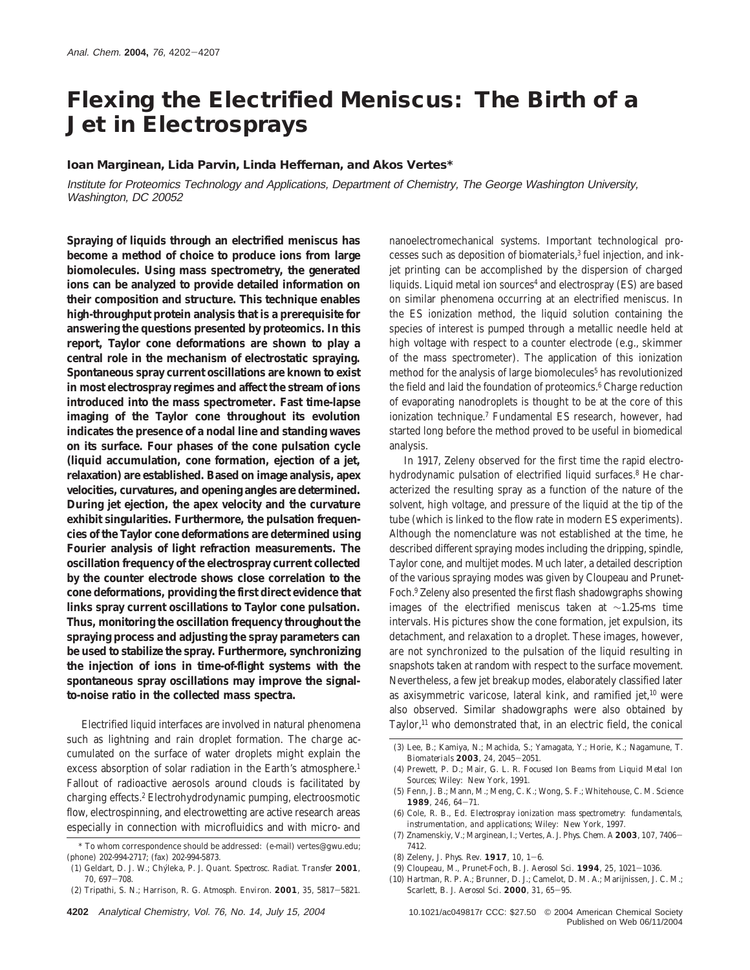# **Flexing the Electrified Meniscus: The Birth of a Jet in Electrosprays**

#### **Ioan Marginean, Lida Parvin, Linda Heffernan, and Akos Vertes\***

Institute for Proteomics Technology and Applications, Department of Chemistry, The George Washington University, Washington, DC 20052

**Spraying of liquids through an electrified meniscus has become a method of choice to produce ions from large biomolecules. Using mass spectrometry, the generated ions can be analyzed to provide detailed information on their composition and structure. This technique enables high-throughput protein analysis that is a prerequisite for answering the questions presented by proteomics. In this report, Taylor cone deformations are shown to play a central role in the mechanism of electrostatic spraying. Spontaneous spray current oscillations are known to exist in most electrospray regimes and affect the stream of ions introduced into the mass spectrometer. Fast time-lapse imaging of the Taylor cone throughout its evolution indicates the presence of a nodal line and standing waves on its surface. Four phases of the cone pulsation cycle (liquid accumulation, cone formation, ejection of a jet, relaxation) are established. Based on image analysis, apex velocities, curvatures, and opening angles are determined. During jet ejection, the apex velocity and the curvature exhibit singularities. Furthermore, the pulsation frequencies of the Taylor cone deformations are determined using Fourier analysis of light refraction measurements. The oscillation frequency of the electrospray current collected by the counter electrode shows close correlation to the cone deformations, providing the first direct evidence that links spray current oscillations to Taylor cone pulsation. Thus, monitoring the oscillation frequency throughout the spraying process and adjusting the spray parameters can be used to stabilize the spray. Furthermore, synchronizing the injection of ions in time-of-flight systems with the spontaneous spray oscillations may improve the signalto-noise ratio in the collected mass spectra.**

Electrified liquid interfaces are involved in natural phenomena such as lightning and rain droplet formation. The charge accumulated on the surface of water droplets might explain the excess absorption of solar radiation in the Earth's atmosphere.<sup>1</sup> Fallout of radioactive aerosols around clouds is facilitated by charging effects.2 Electrohydrodynamic pumping, electroosmotic flow, electrospinning, and electrowetting are active research areas especially in connection with microfluidics and with micro- and

(2) Tripathi, S. N.; Harrison, R. G. *Atmosph. Environ*. **<sup>2001</sup>**, *<sup>35</sup>*, 5817-5821.

nanoelectromechanical systems. Important technological processes such as deposition of biomaterials,<sup>3</sup> fuel injection, and inkjet printing can be accomplished by the dispersion of charged liquids. Liquid metal ion sources<sup>4</sup> and electrospray (ES) are based on similar phenomena occurring at an electrified meniscus. In the ES ionization method, the liquid solution containing the species of interest is pumped through a metallic needle held at high voltage with respect to a counter electrode (e.g., skimmer of the mass spectrometer). The application of this ionization method for the analysis of large biomolecules<sup>5</sup> has revolutionized the field and laid the foundation of proteomics.<sup>6</sup> Charge reduction of evaporating nanodroplets is thought to be at the core of this ionization technique.7 Fundamental ES research, however, had started long before the method proved to be useful in biomedical analysis.

In 1917, Zeleny observed for the first time the rapid electrohydrodynamic pulsation of electrified liquid surfaces.<sup>8</sup> He characterized the resulting spray as a function of the nature of the solvent, high voltage, and pressure of the liquid at the tip of the tube (which is linked to the flow rate in modern ES experiments). Although the nomenclature was not established at the time, he described different spraying modes including the dripping, spindle, Taylor cone, and multijet modes. Much later, a detailed description of the various spraying modes was given by Cloupeau and Prunet-Foch.9 Zeleny also presented the first flash shadowgraphs showing images of the electrified meniscus taken at ∼1.25-ms time intervals. His pictures show the cone formation, jet expulsion, its detachment, and relaxation to a droplet. These images, however, are not synchronized to the pulsation of the liquid resulting in snapshots taken at random with respect to the surface movement. Nevertheless, a few jet breakup modes, elaborately classified later as axisymmetric varicose, lateral kink, and ramified jet,<sup>10</sup> were also observed. Similar shadowgraphs were also obtained by Taylor,<sup>11</sup> who demonstrated that, in an electric field, the conical

- (5) Fenn, J. B.; Mann, M.; Meng, C. K.; Wong, S. F.; Whitehouse, C. M. *Science* **<sup>1989</sup>**, *<sup>246</sup>*, 64-71.
- (6) Cole, R. B., Ed. *Electrospray ionization mass spectrometry: fundamentals, instrumentation, and applications*; Wiley: New York, 1997.
- (7) Znamenskiy, V.; Marginean, I.; Vertes, A. *J. Phys. Chem. A* **<sup>2003</sup>**, *107,* <sup>7406</sup> 7412.
- (8) Zeleny, J. *Phys. Rev.* **<sup>1917</sup>**, *<sup>10</sup>*, 1-6.
- (9) Cloupeau, M., Prunet-Foch, B. *J. Aerosol Sci.* **<sup>1994</sup>**, *<sup>25</sup>*, 1021-1036.
- (10) Hartman, R. P. A.; Brunner, D. J.; Camelot, D. M. A.; Marijnissen, J. C. M.; Scarlett, B. *J. Aerosol Sci*. **<sup>2000</sup>**, *<sup>31</sup>*, 65-95.

Published on Web 06/11/2004

<sup>\*</sup> To whom correspondence should be addressed: (e-mail) vertes@gwu.edu; (phone) 202-994-2717; (fax) 202-994-5873.

<sup>(1)</sup> Geldart, D. J. W.; Chy´leka, P. *J. Quant. Spectrosc. Radiat. Transfer* **2001**, *<sup>70</sup>*, 697-708.

<sup>(3)</sup> Lee, B.; Kamiya, N.; Machida, S.; Yamagata, Y.; Horie, K.; Nagamune, T. *Biomaterials* **<sup>2003</sup>**, *<sup>24</sup>*, 2045-2051.

<sup>(4)</sup> Prewett, P. D.; Mair, G. L. R. *Focused Ion Beams from Liquid Metal Ion Sources*; Wiley: New York, 1991.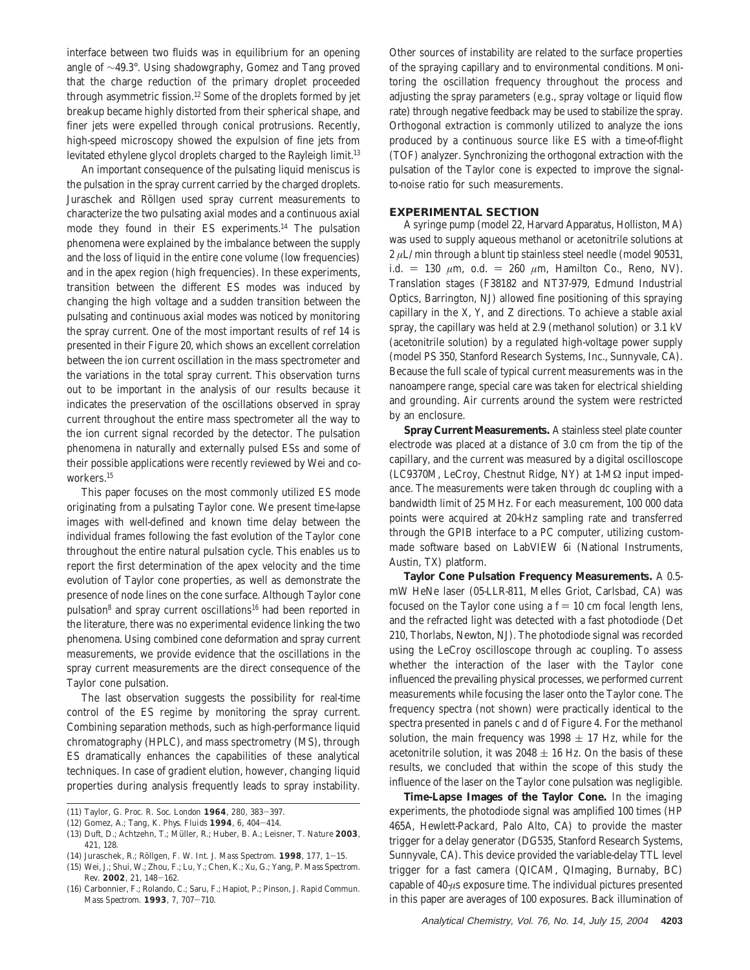interface between two fluids was in equilibrium for an opening angle of ∼49.3°. Using shadowgraphy, Gomez and Tang proved that the charge reduction of the primary droplet proceeded through asymmetric fission.12 Some of the droplets formed by jet breakup became highly distorted from their spherical shape, and finer jets were expelled through conical protrusions. Recently, high-speed microscopy showed the expulsion of fine jets from levitated ethylene glycol droplets charged to the Rayleigh limit.<sup>13</sup>

An important consequence of the pulsating liquid meniscus is the pulsation in the spray current carried by the charged droplets. Juraschek and Röllgen used spray current measurements to characterize the two pulsating axial modes and a continuous axial mode they found in their ES experiments.14 The pulsation phenomena were explained by the imbalance between the supply and the loss of liquid in the entire cone volume (low frequencies) and in the apex region (high frequencies). In these experiments, transition between the different ES modes was induced by changing the high voltage and a sudden transition between the pulsating and continuous axial modes was noticed by monitoring the spray current. One of the most important results of ref 14 is presented in their Figure 20, which shows an excellent correlation between the ion current oscillation in the mass spectrometer and the variations in the total spray current. This observation turns out to be important in the analysis of our results because it indicates the preservation of the oscillations observed in spray current throughout the entire mass spectrometer all the way to the ion current signal recorded by the detector. The pulsation phenomena in naturally and externally pulsed ESs and some of their possible applications were recently reviewed by Wei and coworkers.15

This paper focuses on the most commonly utilized ES mode originating from a pulsating Taylor cone. We present time-lapse images with well-defined and known time delay between the individual frames following the fast evolution of the Taylor cone throughout the entire natural pulsation cycle. This enables us to report the first determination of the apex velocity and the time evolution of Taylor cone properties, as well as demonstrate the presence of node lines on the cone surface. Although Taylor cone pulsation<sup>8</sup> and spray current oscillations<sup>16</sup> had been reported in the literature, there was no experimental evidence linking the two phenomena. Using combined cone deformation and spray current measurements, we provide evidence that the oscillations in the spray current measurements are the direct consequence of the Taylor cone pulsation.

The last observation suggests the possibility for real-time control of the ES regime by monitoring the spray current. Combining separation methods, such as high-performance liquid chromatography (HPLC), and mass spectrometry (MS), through ES dramatically enhances the capabilities of these analytical techniques. In case of gradient elution, however, changing liquid properties during analysis frequently leads to spray instability.

Other sources of instability are related to the surface properties of the spraying capillary and to environmental conditions. Monitoring the oscillation frequency throughout the process and adjusting the spray parameters (e.g., spray voltage or liquid flow rate) through negative feedback may be used to stabilize the spray. Orthogonal extraction is commonly utilized to analyze the ions produced by a continuous source like ES with a time-of-flight (TOF) analyzer. Synchronizing the orthogonal extraction with the pulsation of the Taylor cone is expected to improve the signalto-noise ratio for such measurements.

## **EXPERIMENTAL SECTION**

A syringe pump (model 22, Harvard Apparatus, Holliston, MA) was used to supply aqueous methanol or acetonitrile solutions at 2 *µ*L/min through a blunt tip stainless steel needle (model 90531, i.d. = 130  $\mu$ m, o.d. = 260  $\mu$ m, Hamilton Co., Reno, NV). Translation stages (F38182 and NT37-979, Edmund Industrial Optics, Barrington, NJ) allowed fine positioning of this spraying capillary in the *X*, *Y*, and *Z* directions. To achieve a stable axial spray, the capillary was held at 2.9 (methanol solution) or 3.1 kV (acetonitrile solution) by a regulated high-voltage power supply (model PS 350, Stanford Research Systems, Inc., Sunnyvale, CA). Because the full scale of typical current measurements was in the nanoampere range, special care was taken for electrical shielding and grounding. Air currents around the system were restricted by an enclosure.

**Spray Current Measurements.** A stainless steel plate counter electrode was placed at a distance of 3.0 cm from the tip of the capillary, and the current was measured by a digital oscilloscope (LC9370M, LeCroy, Chestnut Ridge, NY) at 1-MΩ input impedance. The measurements were taken through dc coupling with a bandwidth limit of 25 MHz. For each measurement, 100 000 data points were acquired at 20-kHz sampling rate and transferred through the GPIB interface to a PC computer, utilizing custommade software based on LabVIEW 6i (National Instruments, Austin, TX) platform.

**Taylor Cone Pulsation Frequency Measurements.** A 0.5 mW HeNe laser (05-LLR-811, Melles Griot, Carlsbad, CA) was focused on the Taylor cone using a  $f = 10$  cm focal length lens, and the refracted light was detected with a fast photodiode (Det 210, Thorlabs, Newton, NJ). The photodiode signal was recorded using the LeCroy oscilloscope through ac coupling. To assess whether the interaction of the laser with the Taylor cone influenced the prevailing physical processes, we performed current measurements while focusing the laser onto the Taylor cone. The frequency spectra (not shown) were practically identical to the spectra presented in panels c and d of Figure 4. For the methanol solution, the main frequency was  $1998 \pm 17$  Hz, while for the acetonitrile solution, it was  $2048 \pm 16$  Hz. On the basis of these results, we concluded that within the scope of this study the influence of the laser on the Taylor cone pulsation was negligible.

**Time-Lapse Images of the Taylor Cone.** In the imaging experiments, the photodiode signal was amplified 100 times (HP 465A, Hewlett-Packard, Palo Alto, CA) to provide the master trigger for a delay generator (DG535, Stanford Research Systems, Sunnyvale, CA). This device provided the variable-delay TTL level trigger for a fast camera (QICAM, QImaging, Burnaby, BC) capable of 40-*µ*s exposure time. The individual pictures presented in this paper are averages of 100 exposures. Back illumination of

<sup>(11)</sup> Taylor, G. *Proc. R. Soc. London* **<sup>1964</sup>**, *<sup>280</sup>*, 383-397.

<sup>(12)</sup> Gomez, A.; Tang, K. *Phys. Fluids* **<sup>1994</sup>**, *<sup>6</sup>*, 404-414.

<sup>(13)</sup> Duft, D.; Achtzehn, T.; Müller, R.; Huber, B. A.; Leisner, T. Nature 2003, *421*, 128.

<sup>(14)</sup> Juraschek, R.; Ro¨llgen, F. W. *Int. J. Mass Spectrom.* **<sup>1998</sup>**, *<sup>177</sup>*, 1-15.

<sup>(15)</sup> Wei, J.; Shui, W.; Zhou, F.; Lu, Y.; Chen, K.; Xu, G.; Yang, P. *Mass Spectrom. Rev.* **<sup>2002</sup>**, *<sup>21</sup>*, 148-162.

<sup>(16)</sup> Carbonnier, F.; Rolando, C.; Saru, F.; Hapiot, P.; Pinson, J. *Rapid Commun. Mass Spectrom.* **<sup>1993</sup>**, *<sup>7</sup>*, 707-710.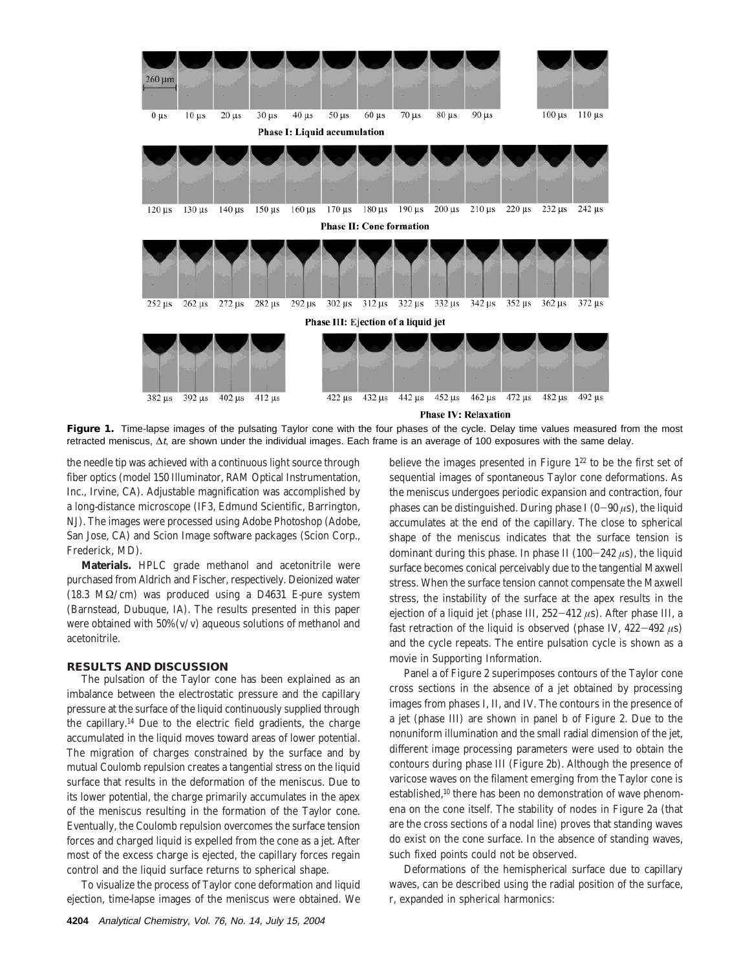

**Phase IV: Relaxation** 

Figure 1. Time-lapse images of the pulsating Taylor cone with the four phases of the cycle. Delay time values measured from the most retracted meniscus, ∆t, are shown under the individual images. Each frame is an average of 100 exposures with the same delay.

the needle tip was achieved with a continuous light source through fiber optics (model 150 Illuminator, RAM Optical Instrumentation, Inc., Irvine, CA). Adjustable magnification was accomplished by a long-distance microscope (IF3, Edmund Scientific, Barrington, NJ). The images were processed using Adobe Photoshop (Adobe, San Jose, CA) and Scion Image software packages (Scion Corp., Frederick, MD).

**Materials.** HPLC grade methanol and acetonitrile were purchased from Aldrich and Fischer, respectively. Deionized water (18.3 MΩ/cm) was produced using a D4631 E-pure system (Barnstead, Dubuque, IA). The results presented in this paper were obtained with 50% (v/v) aqueous solutions of methanol and acetonitrile.

#### **RESULTS AND DISCUSSION**

The pulsation of the Taylor cone has been explained as an imbalance between the electrostatic pressure and the capillary pressure at the surface of the liquid continuously supplied through the capillary.14 Due to the electric field gradients, the charge accumulated in the liquid moves toward areas of lower potential. The migration of charges constrained by the surface and by mutual Coulomb repulsion creates a tangential stress on the liquid surface that results in the deformation of the meniscus. Due to its lower potential, the charge primarily accumulates in the apex of the meniscus resulting in the formation of the Taylor cone. Eventually, the Coulomb repulsion overcomes the surface tension forces and charged liquid is expelled from the cone as a jet. After most of the excess charge is ejected, the capillary forces regain control and the liquid surface returns to spherical shape.

To visualize the process of Taylor cone deformation and liquid ejection, time-lapse images of the meniscus were obtained. We believe the images presented in Figure  $1^{22}$  to be the first set of sequential images of spontaneous Taylor cone deformations. As the meniscus undergoes periodic expansion and contraction, four phases can be distinguished. During phase I  $(0-90 \,\mu s)$ , the liquid accumulates at the end of the capillary. The close to spherical shape of the meniscus indicates that the surface tension is dominant during this phase. In phase II (100-<sup>242</sup> *<sup>µ</sup>*s), the liquid surface becomes conical perceivably due to the tangential Maxwell stress. When the surface tension cannot compensate the Maxwell stress, the instability of the surface at the apex results in the ejection of a liquid jet (phase III, 252-<sup>412</sup> *<sup>µ</sup>*s). After phase III, a fast retraction of the liquid is observed (phase IV,  $422-492 \mu s$ ) and the cycle repeats. The entire pulsation cycle is shown as a movie in Supporting Information.

Panel a of Figure 2 superimposes contours of the Taylor cone cross sections in the absence of a jet obtained by processing images from phases I, II, and IV. The contours in the presence of a jet (phase III) are shown in panel b of Figure 2. Due to the nonuniform illumination and the small radial dimension of the jet, different image processing parameters were used to obtain the contours during phase III (Figure 2b). Although the presence of varicose waves on the filament emerging from the Taylor cone is established,<sup>10</sup> there has been no demonstration of wave phenomena on the cone itself. The stability of nodes in Figure 2a (that are the cross sections of a nodal line) proves that standing waves do exist on the cone surface. In the absence of standing waves, such fixed points could not be observed.

Deformations of the hemispherical surface due to capillary waves, can be described using the radial position of the surface, r, expanded in spherical harmonics: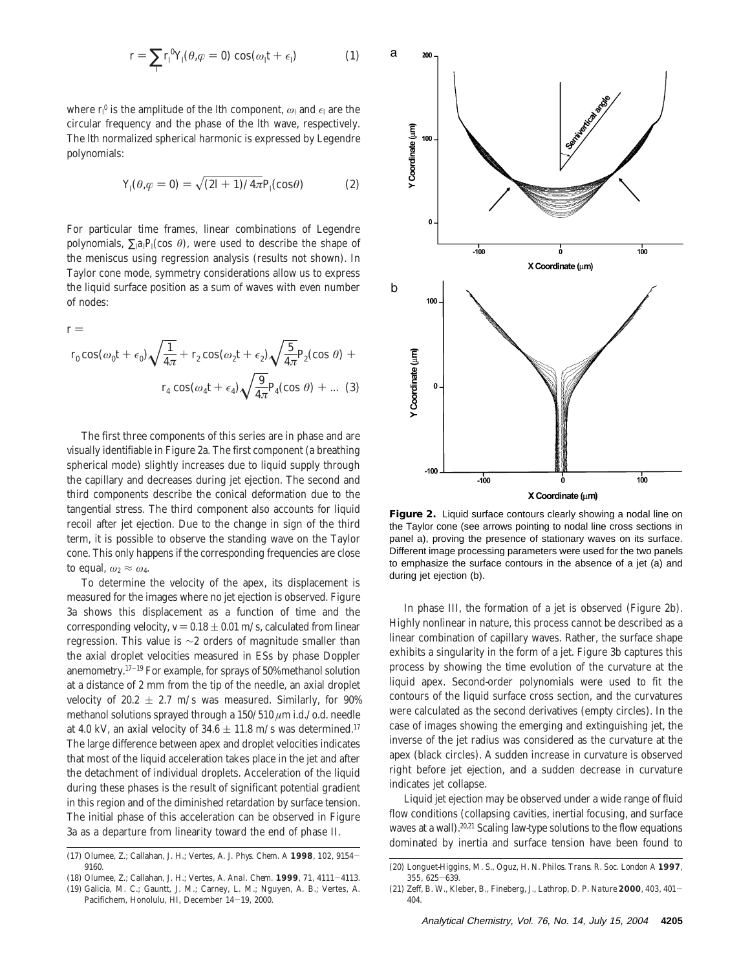$$
r = \sum_{l} r_l^0 Y_l(\theta, \varphi = 0) \cos(\omega_l t + \epsilon)
$$
 (1)

where  $r_l^0$  is the amplitude of the *l*th component,  $\omega_l$  and  $\epsilon_l$  are the circular frequency and the phase of the *l*th wave, respectively. The *l*th normalized spherical harmonic is expressed by Legendre polynomials:

$$
Y_l(\theta, \varphi = 0) = \sqrt{(2l+1)/4\pi} P_l(\cos \theta)
$$
 (2)

For particular time frames, linear combinations of Legendre polynomials,  $\sum_{i} a_i P_i(\cos \theta)$ , were used to describe the shape of the meniscus using regression analysis (results not shown). In Taylor cone mode, symmetry considerations allow us to express the liquid surface position as a sum of waves with even number of nodes:

 $r =$ 

$$
r_0 \cos(\omega_0 t + \epsilon_0) \sqrt{\frac{1}{4\pi}} + r_2 \cos(\omega_2 t + \epsilon_2) \sqrt{\frac{5}{4\pi}} P_2(\cos \theta) +
$$

$$
r_4 \cos(\omega_4 t + \epsilon_4) \sqrt{\frac{9}{4\pi}} P_4(\cos \theta) + \dots (3)
$$

The first three components of this series are in phase and are visually identifiable in Figure 2a. The first component (a breathing spherical mode) slightly increases due to liquid supply through the capillary and decreases during jet ejection. The second and third components describe the conical deformation due to the tangential stress. The third component also accounts for liquid recoil after jet ejection. Due to the change in sign of the third term, it is possible to observe the standing wave on the Taylor cone. This only happens if the corresponding frequencies are close to equal,  $\omega_2 \approx \omega_4$ .

To determine the velocity of the apex, its displacement is measured for the images where no jet ejection is observed. Figure 3a shows this displacement as a function of time and the corresponding velocity,  $v = 0.18 \pm 0.01$  m/s, calculated from linear regression. This value is ∼2 orders of magnitude smaller than the axial droplet velocities measured in ESs by phase Doppler anemometry.17-<sup>19</sup> For example, for sprays of 50% methanol solution at a distance of 2 mm from the tip of the needle, an axial droplet velocity of 20.2  $\pm$  2.7 m/s was measured. Similarly, for 90% methanol solutions sprayed through a 150/510 *µ*m i.d./o.d. needle at 4.0 kV, an axial velocity of  $34.6 \pm 11.8$  m/s was determined.<sup>17</sup> The large difference between apex and droplet velocities indicates that most of the liquid acceleration takes place in the jet and after the detachment of individual droplets. Acceleration of the liquid during these phases is the result of significant potential gradient in this region and of the diminished retardation by surface tension. The initial phase of this acceleration can be observed in Figure 3a as a departure from linearity toward the end of phase II.



**Figure 2.** Liquid surface contours clearly showing a nodal line on the Taylor cone (see arrows pointing to nodal line cross sections in panel a), proving the presence of stationary waves on its surface. Different image processing parameters were used for the two panels to emphasize the surface contours in the absence of a jet (a) and during jet ejection (b).

In phase III, the formation of a jet is observed (Figure 2b). Highly nonlinear in nature, this process cannot be described as a linear combination of capillary waves. Rather, the surface shape exhibits a singularity in the form of a jet. Figure 3b captures this process by showing the time evolution of the curvature at the liquid apex. Second-order polynomials were used to fit the contours of the liquid surface cross section, and the curvatures were calculated as the second derivatives (empty circles). In the case of images showing the emerging and extinguishing jet, the inverse of the jet radius was considered as the curvature at the apex (black circles). A sudden increase in curvature is observed right before jet ejection, and a sudden decrease in curvature indicates jet collapse.

Liquid jet ejection may be observed under a wide range of fluid flow conditions (collapsing cavities, inertial focusing, and surface waves at a wall).<sup>20,21</sup> Scaling law-type solutions to the flow equations dominated by inertia and surface tension have been found to

<sup>(17)</sup> Olumee, Z.; Callahan, J. H.; Vertes, A. *J. Phys. Chem. A* **<sup>1998</sup>**, *<sup>102</sup>*, 9154- 9160.

<sup>(18)</sup> Olumee, Z.; Callahan, J. H.; Vertes, A. *Anal. Chem.* **<sup>1999</sup>**, *<sup>71</sup>*, 4111-4113. (19) Galicia, M. C.; Gauntt, J. M.; Carney, L. M.; Nguyen, A. B.; Vertes, A.

Pacifichem, Honolulu, HI, December 14-19, 2000.

<sup>(20)</sup> Longuet-Higgins, M. S., Oguz, H. N. *Philos. Trans. R. Soc. London A* **1997**, *<sup>355</sup>*, 625-639.

<sup>(21)</sup> Zeff, B. W., Kleber, B., Fineberg, J., Lathrop, D. P. *Nature* **<sup>2000</sup>**, *<sup>403</sup>*, 401- 404.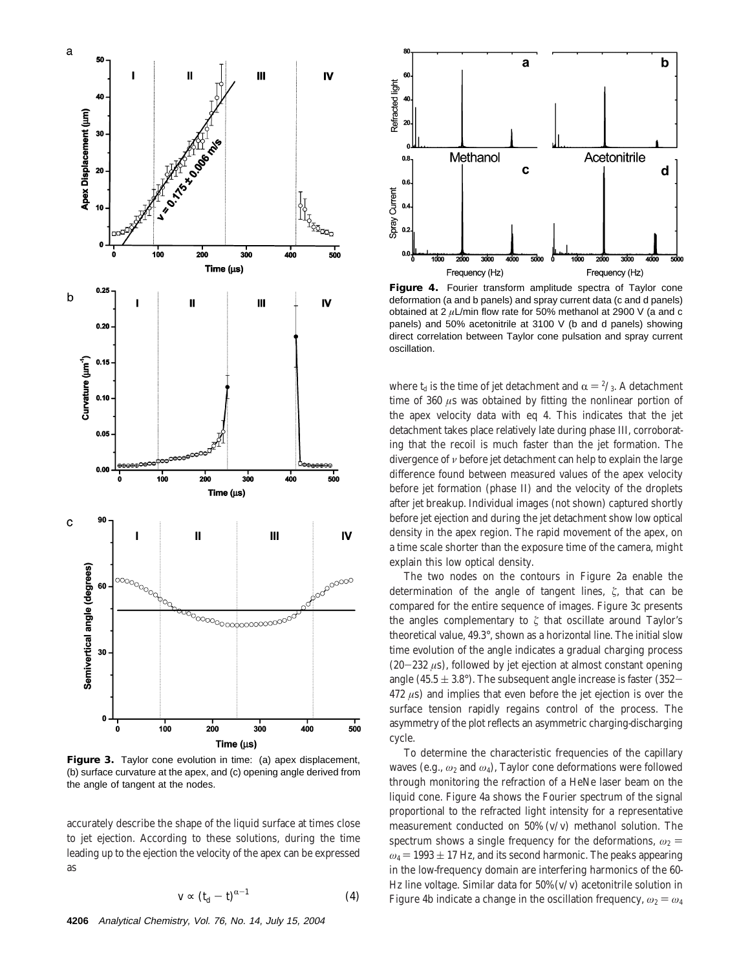

**Figure 3.** Taylor cone evolution in time: (a) apex displacement, (b) surface curvature at the apex, and (c) opening angle derived from the angle of tangent at the nodes.

accurately describe the shape of the liquid surface at times close to jet ejection. According to these solutions, during the time leading up to the ejection the velocity of the apex can be expressed as

$$
v \propto (t_{\rm d} - t)^{\alpha - 1} \tag{4}
$$



**Figure 4.** Fourier transform amplitude spectra of Taylor cone deformation (a and b panels) and spray current data (c and d panels) obtained at 2 *µ*L/min flow rate for 50% methanol at 2900 V (a and c panels) and 50% acetonitrile at 3100 V (b and d panels) showing direct correlation between Taylor cone pulsation and spray current oscillation.

where  $t_d$  is the time of jet detachment and  $\alpha = \frac{2}{3}$ . A detachment time of 360 *µ*s was obtained by fitting the nonlinear portion of the apex velocity data with eq 4. This indicates that the jet detachment takes place relatively late during phase III, corroborating that the recoil is much faster than the jet formation. The divergence of *ν* before jet detachment can help to explain the large difference found between measured values of the apex velocity before jet formation (phase II) and the velocity of the droplets after jet breakup. Individual images (not shown) captured shortly before jet ejection and during the jet detachment show low optical density in the apex region. The rapid movement of the apex, on a time scale shorter than the exposure time of the camera, might explain this low optical density.

The two nodes on the contours in Figure 2a enable the determination of the angle of tangent lines, ζ, that can be compared for the entire sequence of images. Figure 3c presents the angles complementary to  $\xi$  that oscillate around Taylor's theoretical value, 49.3°, shown as a horizontal line. The initial slow time evolution of the angle indicates a gradual charging process (20-<sup>232</sup> *<sup>µ</sup>*s), followed by jet ejection at almost constant opening angle (45.5  $\pm$  3.8°). The subsequent angle increase is faster (352-472 *µ*s) and implies that even before the jet ejection is over the surface tension rapidly regains control of the process. The asymmetry of the plot reflects an asymmetric charging-discharging cycle.

To determine the characteristic frequencies of the capillary waves (e.g., *ω*<sup>2</sup> and *ω*4), Taylor cone deformations were followed through monitoring the refraction of a HeNe laser beam on the liquid cone. Figure 4a shows the Fourier spectrum of the signal proportional to the refracted light intensity for a representative measurement conducted on 50% (v/v) methanol solution. The spectrum shows a single frequency for the deformations,  $\omega_2$  =  $\omega_4$  = 1993  $\pm$  17 Hz, and its second harmonic. The peaks appearing in the low-frequency domain are interfering harmonics of the 60- Hz line voltage. Similar data for  $50\%$  (v/v) acetonitrile solution in Figure 4b indicate a change in the oscillation frequency,  $\omega_2 = \omega_4$